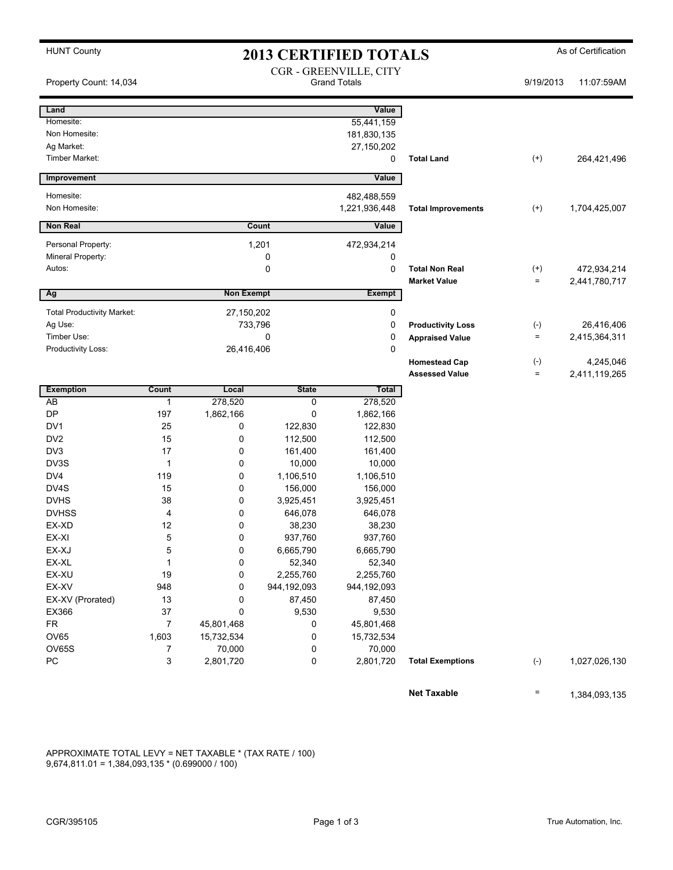|  | <b>HUNT County</b> |
|--|--------------------|
|--|--------------------|

## **2013 CERTIFIED TOTALS** As of Certification

| Property Count: 14,034            |                    |                   |                      | CGR - GREENVILLE, CITY<br><b>Grand Totals</b> |                           | 9/19/2013         | 11:07:59AM    |
|-----------------------------------|--------------------|-------------------|----------------------|-----------------------------------------------|---------------------------|-------------------|---------------|
| Land                              |                    |                   |                      | Value                                         |                           |                   |               |
| Homesite:                         |                    |                   |                      | 55,441,159                                    |                           |                   |               |
| Non Homesite:                     |                    |                   |                      | 181,830,135                                   |                           |                   |               |
| Ag Market:                        |                    |                   |                      | 27,150,202                                    |                           |                   |               |
| Timber Market:                    |                    |                   |                      | 0                                             | <b>Total Land</b>         | $^{(+)}$          | 264,421,496   |
| Improvement                       |                    |                   |                      | Value                                         |                           |                   |               |
| Homesite:                         |                    |                   |                      | 482,488,559                                   |                           |                   |               |
| Non Homesite:                     |                    |                   |                      | 1,221,936,448                                 | <b>Total Improvements</b> | $^{(+)}$          | 1,704,425,007 |
| <b>Non Real</b>                   |                    |                   | Count                | Value                                         |                           |                   |               |
|                                   |                    |                   |                      |                                               |                           |                   |               |
| Personal Property:                |                    |                   | 1,201                | 472,934,214                                   |                           |                   |               |
| Mineral Property:                 |                    |                   | 0                    | 0                                             |                           |                   |               |
| Autos:                            |                    |                   | 0                    | 0                                             | <b>Total Non Real</b>     | $^{(+)}$          | 472,934,214   |
|                                   |                    |                   |                      |                                               | <b>Market Value</b>       | $=$               | 2,441,780,717 |
| Ag                                |                    | <b>Non Exempt</b> |                      | <b>Exempt</b>                                 |                           |                   |               |
| <b>Total Productivity Market:</b> |                    | 27,150,202        |                      | 0                                             |                           |                   |               |
| Ag Use:                           |                    | 733,796           |                      | 0                                             | <b>Productivity Loss</b>  | $(\text{-})$      | 26,416,406    |
| Timber Use:                       |                    |                   | 0                    | 0                                             | <b>Appraised Value</b>    | $\equiv$          | 2,415,364,311 |
| Productivity Loss:                |                    | 26,416,406        |                      | 0                                             |                           |                   |               |
|                                   |                    |                   |                      |                                               | <b>Homestead Cap</b>      | $(-)$             | 4,245,046     |
|                                   |                    |                   |                      |                                               | <b>Assessed Value</b>     | $\qquad \qquad =$ | 2,411,119,265 |
| <b>Exemption</b>                  | Count              | Local             | <b>State</b>         | <b>Total</b>                                  |                           |                   |               |
| AB                                | 1                  | 278,520           | 0                    | 278,520                                       |                           |                   |               |
| <b>DP</b>                         | 197                | 1,862,166         | 0                    | 1,862,166                                     |                           |                   |               |
| DV1                               | 25                 | 0                 | 122,830              | 122,830                                       |                           |                   |               |
| DV <sub>2</sub>                   | 15                 | 0                 | 112,500              | 112,500                                       |                           |                   |               |
| DV3                               | 17                 | 0                 | 161,400              | 161,400                                       |                           |                   |               |
| DV3S                              | $\mathbf{1}$       | 0                 | 10,000               | 10,000                                        |                           |                   |               |
| DV <sub>4</sub>                   | 119                | 0                 | 1,106,510            | 1,106,510                                     |                           |                   |               |
| DV4S                              | 15                 | 0                 | 156,000              | 156,000                                       |                           |                   |               |
| <b>DVHS</b>                       | 38                 | 0                 | 3,925,451            | 3,925,451                                     |                           |                   |               |
| <b>DVHSS</b>                      | 4                  | 0                 | 646,078              | 646,078                                       |                           |                   |               |
| EX-XD<br>EX-XI                    | 12                 | 0                 | 38,230               | 38,230                                        |                           |                   |               |
| EX-XJ                             | 5<br>5             | 0<br>0            | 937,760<br>6,665,790 | 937,760<br>6,665,790                          |                           |                   |               |
| EX-XL                             |                    |                   |                      |                                               |                           |                   |               |
| EX-XU                             | $\mathbf{1}$<br>19 | 0<br>0            | 52,340<br>2,255,760  | 52,340<br>2,255,760                           |                           |                   |               |
| EX-XV                             | 948                | 0                 | 944,192,093          | 944,192,093                                   |                           |                   |               |
| EX-XV (Prorated)                  | 13                 | 0                 | 87,450               | 87,450                                        |                           |                   |               |
| EX366                             | $37\,$             | 0                 | 9,530                | 9,530                                         |                           |                   |               |
| FR                                | 7                  | 45,801,468        | 0                    | 45,801,468                                    |                           |                   |               |
| OV65                              | 1,603              | 15,732,534        | 0                    | 15,732,534                                    |                           |                   |               |
| OV65S                             | 7                  | 70,000            | 0                    | 70,000                                        |                           |                   |               |
| PC                                | 3                  | 2,801,720         | $\pmb{0}$            | 2,801,720                                     | <b>Total Exemptions</b>   | $(\text{-})$      | 1,027,026,130 |
|                                   |                    |                   |                      |                                               | <b>Net Taxable</b>        | $\equiv$          | 1,384,093,135 |

APPROXIMATE TOTAL LEVY = NET TAXABLE \* (TAX RATE / 100) 9,674,811.01 = 1,384,093,135 \* (0.699000 / 100)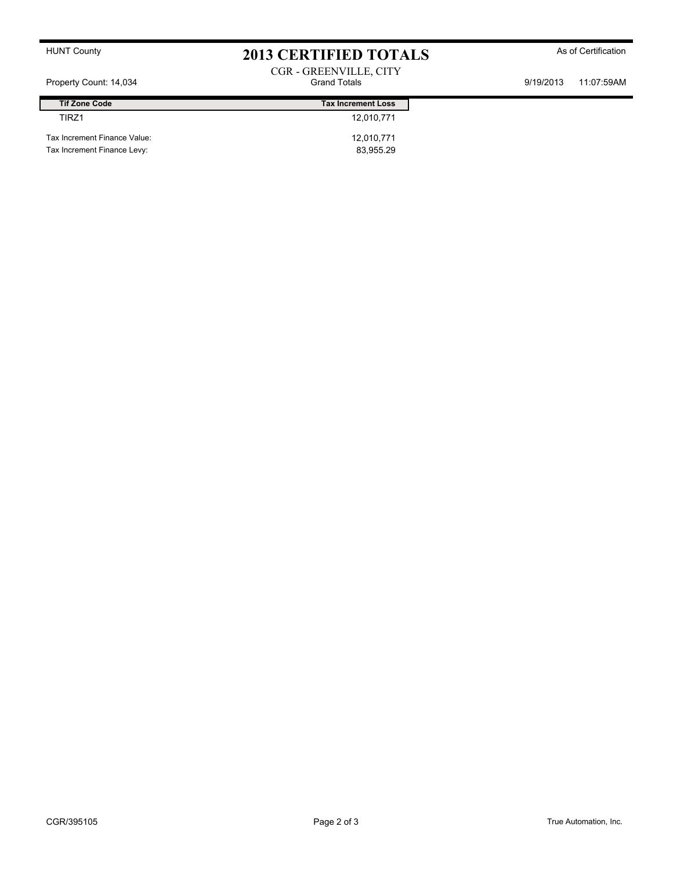## HUNT County **As of Certification 2013 CERTIFIED TOTALS** As of Certification CGR - GREENVILLE, CITY

Property Count: 14,034 Grand Totals 9/19/2013 11:07:59AM

| <b>Tif Zone Code</b>         | <b>Tax Increment Loss</b> |
|------------------------------|---------------------------|
| <b>TIR71</b>                 | 12.010.771                |
| Tax Increment Finance Value: | 12,010,771                |
| Tax Increment Finance Levy:  | 83.955.29                 |